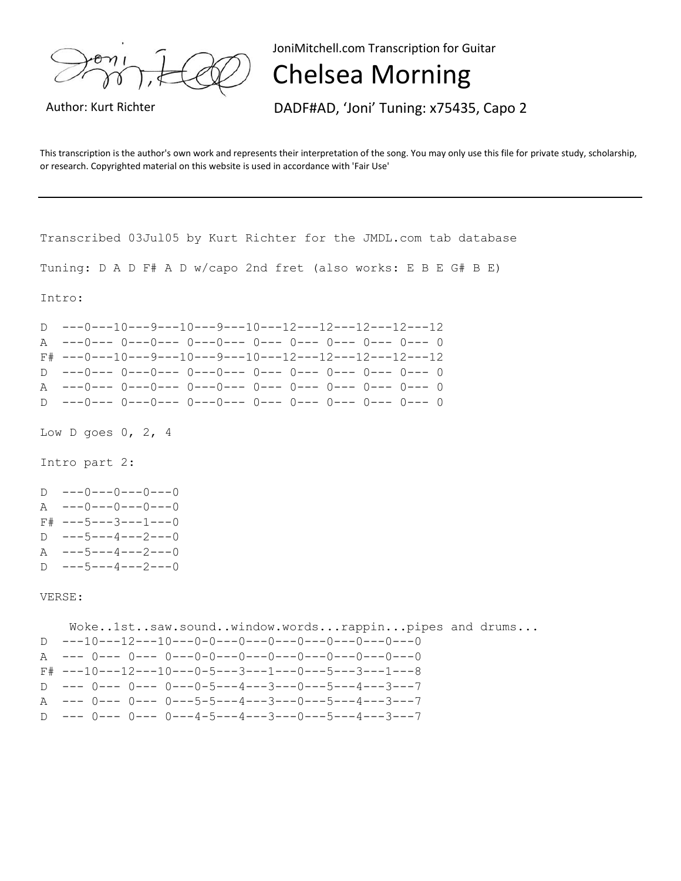

JoniMitchell.com Transcription for Guitar

Chelsea Morning

Author: Kurt Richter DADF#AD, 'Joni' Tuning: x75435, Capo 2

This transcription is the author's own work and represents their interpretation of the song. You may only use this file for private study, scholarship, or research. Copyrighted material on this website is used in accordance with 'Fair Use'

```
Transcribed 03Jul05 by Kurt Richter for the JMDL.com tab database
Tuning: D A D F# A D w/capo 2nd fret (also works: E B E G# B E)
Intro:
D ---0---10---9---10---9---10---12---12---12---12---12
A ---0--- 0---0--- 0---0--- 0--- 0--- 0--- 0--- 0--- 0
F# ---0---10---9---10---9---10---12---12---12---12---12
D ---0--- 0---0--- 0---0--- 0--- 0--- 0--- 0--- 0--- 0
A ---0--- 0---0--- 0---0--- 0--- 0--- 0--- 0--- 0--- 0
D ---0--- 0---0--- 0---0--- 0--- 0--- 0--- 0--- 0--- 0
Low D goes 0, 2, 4Intro part 2:
D = -0---0---0---0
A ---0---0---0---0F# ---5---3---1---0
D ---5---4---2---0A ---5---4---2---0D ---5---4---2---0VERSE:
    Woke..1st..saw.sound..window.words...rappin...pipes and drums...
D ---10---12---10---0-0---0---0---0---0---0---0---0
A --- 0--- 0--- 0---0-0---0---0---0---0---0---0---0
F# ---10---12---10---0-5---3---1---0---5---3---1---8
D --- 0--- 0--- 0---0-5---4---3---0---5---4---3---7
A --- 0--- 0--- 0---5-5---4---3---0---5---4---3---7
D --- 0--- 0--- 0---4-5---4---3---0---5---4---3---7
```